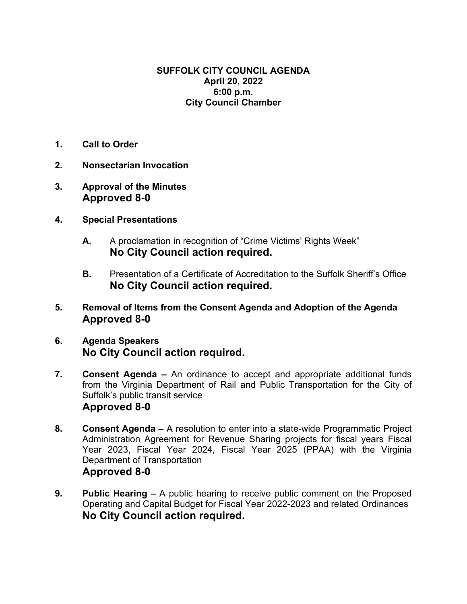#### **SUFFOLK CITY COUNCIL AGENDA April 20, 2022 6:00 p.m. City Council Chamber**

- **1. Call to Order**
- **2. Nonsectarian Invocation**
- **3. Approval of the Minutes Approved 8-0**
- **4. Special Presentations** 
	- **A.** A proclamation in recognition of "Crime Victims' Rights Week" **No City Council action required.**
	- **B.** Presentation of a Certificate of Accreditation to the Suffolk Sheriff's Office **No City Council action required.**
- **5. Removal of Items from the Consent Agenda and Adoption of the Agenda Approved 8-0**
- **6. Agenda Speakers No City Council action required.**
- **7. Consent Agenda** An ordinance to accept and appropriate additional funds from the Virginia Department of Rail and Public Transportation for the City of Suffolk's public transit service **Approved 8-0**
- **8. Consent Agenda –** A resolution to enter into a state-wide Programmatic Project Administration Agreement for Revenue Sharing projects for fiscal years Fiscal Year 2023, Fiscal Year 2024, Fiscal Year 2025 (PPAA) with the Virginia Department of Transportation **Approved 8-0**
- **9. Public Hearing** A public hearing to receive public comment on the Proposed Operating and Capital Budget for Fiscal Year 2022-2023 and related Ordinances **No City Council action required.**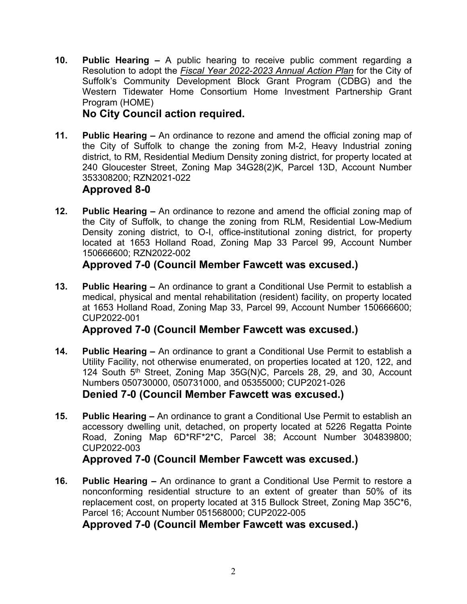**10. Public Hearing –** A public hearing to receive public comment regarding a Resolution to adopt the *Fiscal Year 2022-2023 Annual Action Plan* for the City of Suffolk's Community Development Block Grant Program (CDBG) and the Western Tidewater Home Consortium Home Investment Partnership Grant Program (HOME)

### **No City Council action required.**

**11. Public Hearing –** An ordinance to rezone and amend the official zoning map of the City of Suffolk to change the zoning from M-2, Heavy Industrial zoning district, to RM, Residential Medium Density zoning district, for property located at 240 Gloucester Street, Zoning Map 34G28(2)K, Parcel 13D, Account Number 353308200; RZN2021-022

### **Approved 8-0**

**12. Public Hearing –** An ordinance to rezone and amend the official zoning map of the City of Suffolk, to change the zoning from RLM, Residential Low-Medium Density zoning district, to O-I, office-institutional zoning district, for property located at 1653 Holland Road, Zoning Map 33 Parcel 99, Account Number 150666600; RZN2022-002

# **Approved 7-0 (Council Member Fawcett was excused.)**

**13. Public Hearing –** An ordinance to grant a Conditional Use Permit to establish a medical, physical and mental rehabilitation (resident) facility, on property located at 1653 Holland Road, Zoning Map 33, Parcel 99, Account Number 150666600; CUP2022-001

# **Approved 7-0 (Council Member Fawcett was excused.)**

- **14. Public Hearing** An ordinance to grant a Conditional Use Permit to establish a Utility Facility, not otherwise enumerated, on properties located at 120, 122, and 124 South 5<sup>th</sup> Street, Zoning Map 35G(N)C, Parcels 28, 29, and 30, Account Numbers 050730000, 050731000, and 05355000; CUP2021-026 **Denied 7-0 (Council Member Fawcett was excused.)**
- **15. Public Hearing** An ordinance to grant a Conditional Use Permit to establish an accessory dwelling unit, detached, on property located at 5226 Regatta Pointe Road, Zoning Map 6D\*RF\*2\*C, Parcel 38; Account Number 304839800; CUP2022-003

# **Approved 7-0 (Council Member Fawcett was excused.)**

**16. Public Hearing –** An ordinance to grant a Conditional Use Permit to restore a nonconforming residential structure to an extent of greater than 50% of its replacement cost, on property located at 315 Bullock Street, Zoning Map 35C\*6, Parcel 16; Account Number 051568000; CUP2022-005

#### **Approved 7-0 (Council Member Fawcett was excused.)**